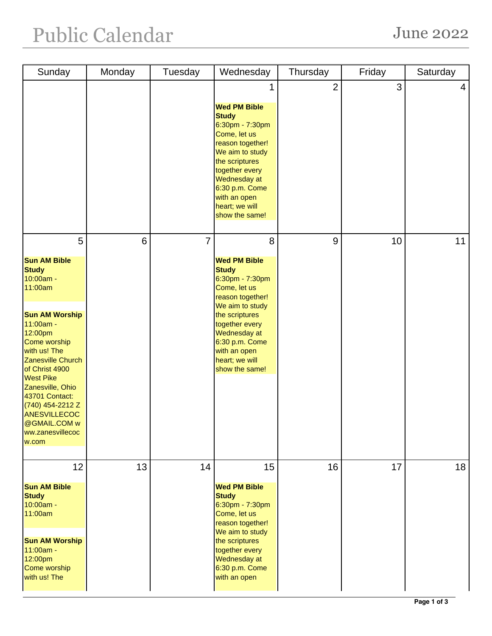## Public Calendar June 2022

| Sunday                                                                                                                                                                                                                                                                                                                                | Monday | Tuesday        | Wednesday                                                                                                                                                                                                                                    | Thursday       | Friday | Saturday |
|---------------------------------------------------------------------------------------------------------------------------------------------------------------------------------------------------------------------------------------------------------------------------------------------------------------------------------------|--------|----------------|----------------------------------------------------------------------------------------------------------------------------------------------------------------------------------------------------------------------------------------------|----------------|--------|----------|
|                                                                                                                                                                                                                                                                                                                                       |        |                | 1<br><b>Wed PM Bible</b><br><b>Study</b><br>6:30pm - 7:30pm<br>Come, let us<br>reason together!<br>We aim to study<br>the scriptures<br>together every<br>Wednesday at<br>6:30 p.m. Come<br>with an open<br>heart; we will<br>show the same! | $\overline{2}$ | 3      | 4        |
| 5                                                                                                                                                                                                                                                                                                                                     | 6      | $\overline{7}$ | 8                                                                                                                                                                                                                                            | 9              | 10     | 11       |
| <b>Sun AM Bible</b><br><b>Study</b><br>10:00am -<br>11:00am<br><b>Sun AM Worship</b><br>11:00am -<br>12:00pm<br>Come worship<br>with us! The<br>Zanesville Church<br>of Christ 4900<br><b>West Pike</b><br>Zanesville, Ohio<br>43701 Contact:<br>(740) 454-2212 Z<br><b>ANESVILLECOC</b><br>@GMAIL.COM w<br>ww.zanesvillecoc<br>w.com |        |                | <b>Wed PM Bible</b><br><b>Study</b><br>6:30pm - 7:30pm<br>Come, let us<br>reason together!<br>We aim to study<br>the scriptures<br>together every<br>Wednesday at<br>6:30 p.m. Come<br>with an open<br>heart; we will<br>show the same!      |                |        |          |
| 12<br><b>Sun AM Bible</b><br><b>Study</b><br>10:00am -<br>11:00am<br><b>Sun AM Worship</b><br>11:00am -<br>12:00pm<br>Come worship<br>with us! The                                                                                                                                                                                    | 13     | 14             | 15<br><b>Wed PM Bible</b><br><b>Study</b><br>6:30pm - 7:30pm<br>Come, let us<br>reason together!<br>We aim to study<br>the scriptures<br>together every<br>Wednesday at<br>6:30 p.m. Come<br>with an open                                    | 16             | 17     | 18       |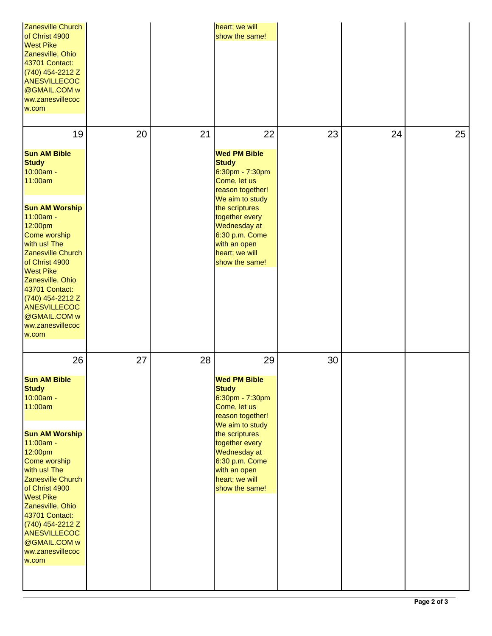| Zanesville Church<br>of Christ 4900<br><b>West Pike</b><br>Zanesville, Ohio<br>43701 Contact:<br>(740) 454-2212 Z<br><b>ANESVILLECOC</b><br>@GMAIL.COM w<br>ww.zanesvillecoc<br>w.com                                                                                                                                                 |    |    | heart; we will<br>show the same!                                                                                                                                                                                                        |    |    |    |
|---------------------------------------------------------------------------------------------------------------------------------------------------------------------------------------------------------------------------------------------------------------------------------------------------------------------------------------|----|----|-----------------------------------------------------------------------------------------------------------------------------------------------------------------------------------------------------------------------------------------|----|----|----|
| 19                                                                                                                                                                                                                                                                                                                                    | 20 | 21 | 22                                                                                                                                                                                                                                      | 23 | 24 | 25 |
| <b>Sun AM Bible</b><br><b>Study</b><br>10:00am -<br>11:00am<br><b>Sun AM Worship</b><br>11:00am -<br>12:00pm<br>Come worship<br>with us! The<br>Zanesville Church<br>of Christ 4900<br><b>West Pike</b><br>Zanesville, Ohio<br>43701 Contact:<br>(740) 454-2212 Z<br><b>ANESVILLECOC</b><br>@GMAIL.COM w<br>ww.zanesvillecoc<br>w.com |    |    | <b>Wed PM Bible</b><br><b>Study</b><br>6:30pm - 7:30pm<br>Come, let us<br>reason together!<br>We aim to study<br>the scriptures<br>together every<br>Wednesday at<br>6:30 p.m. Come<br>with an open<br>heart; we will<br>show the same! |    |    |    |
| 26                                                                                                                                                                                                                                                                                                                                    | 27 | 28 | 29                                                                                                                                                                                                                                      | 30 |    |    |
| <b>Sun AM Bible</b><br><b>Study</b><br>10:00am -<br>11:00am                                                                                                                                                                                                                                                                           |    |    | <b>Wed PM Bible</b><br><b>Study</b><br>6:30pm - 7:30pm<br>Come, let us<br>reason together!                                                                                                                                              |    |    |    |
| <b>Sun AM Worship</b><br>11:00am -<br>12:00pm<br>Come worship<br>with us! The<br>Zanesville Church<br>of Christ 4900<br><b>West Pike</b><br>Zanesville, Ohio<br>43701 Contact:<br>(740) 454-2212 Z<br><b>ANESVILLECOC</b><br>@GMAIL.COM w<br>ww.zanesvillecoc<br>w.com                                                                |    |    | We aim to study<br>the scriptures<br>together every<br>Wednesday at<br>6:30 p.m. Come<br>with an open<br>heart; we will<br>show the same!                                                                                               |    |    |    |